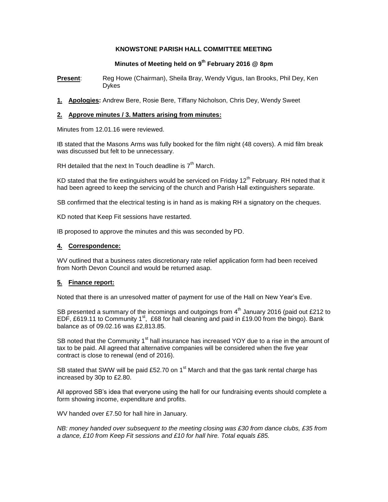## **KNOWSTONE PARISH HALL COMMITTEE MEETING**

# **Minutes of Meeting held on 9 th February 2016 @ 8pm**

**Present**: Reg Howe (Chairman), Sheila Bray, Wendy Vigus, Ian Brooks, Phil Dey, Ken Dykes

**1. Apologies:** Andrew Bere, Rosie Bere, Tiffany Nicholson, Chris Dey, Wendy Sweet

## **2. Approve minutes / 3. Matters arising from minutes:**

Minutes from 12.01.16 were reviewed.

IB stated that the Masons Arms was fully booked for the film night (48 covers). A mid film break was discussed but felt to be unnecessary.

RH detailed that the next In Touch deadline is  $7<sup>th</sup>$  March.

KD stated that the fire extinguishers would be serviced on Friday  $12<sup>th</sup>$  February. RH noted that it had been agreed to keep the servicing of the church and Parish Hall extinguishers separate.

SB confirmed that the electrical testing is in hand as is making RH a signatory on the cheques.

KD noted that Keep Fit sessions have restarted.

IB proposed to approve the minutes and this was seconded by PD.

## **4. Correspondence:**

WV outlined that a business rates discretionary rate relief application form had been received from North Devon Council and would be returned asap.

## **5. Finance report:**

Noted that there is an unresolved matter of payment for use of the Hall on New Year's Eve.

SB presented a summary of the incomings and outgoings from  $4<sup>th</sup>$  January 2016 (paid out £212 to EDF, £619.11 to Community 1<sup>st</sup>, £68 for hall cleaning and paid in £19.00 from the bingo). Bank balance as of 09.02.16 was £2,813.85.

SB noted that the Community  $1<sup>st</sup>$  hall insurance has increased YOY due to a rise in the amount of tax to be paid. All agreed that alternative companies will be considered when the five year contract is close to renewal (end of 2016).

SB stated that SWW will be paid £52.70 on 1 $\mathrm{^{st}}$  March and that the gas tank rental charge has increased by 30p to £2.80.

All approved SB's idea that everyone using the hall for our fundraising events should complete a form showing income, expenditure and profits.

WV handed over £7.50 for hall hire in January.

*NB: money handed over subsequent to the meeting closing was £30 from dance clubs, £35 from a dance, £10 from Keep Fit sessions and £10 for hall hire. Total equals £85.*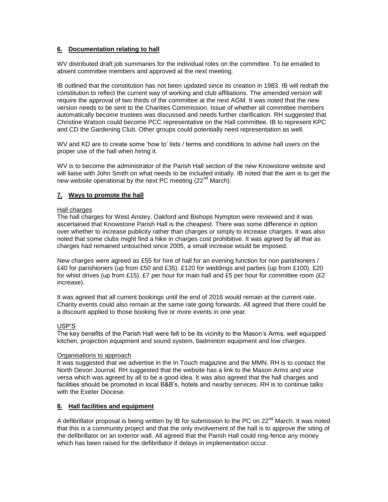## **6. Documentation relating to hall**

WV distributed draft job summaries for the individual roles on the committee. To be emailed to absent committee members and approved at the next meeting.

IB outlined that the constitution has not been updated since its creation in 1983. IB will redraft the constitution to reflect the current way of working and club affiliations. The amended version will require the approval of two thirds of the committee at the next AGM. It was noted that the new version needs to be sent to the Charities Commission. Issue of whether all committee members automatically become trustees was discussed and needs further clarification. RH suggested that Christine Watson could become PCC representative on the Hall committee. IB to represent KPC and CD the Gardening Club. Other groups could potentially need representation as well.

WV and KD are to create some 'how to' lists / terms and conditions to advise hall users on the proper use of the hall when hiring it.

WV is to become the administrator of the Parish Hall section of the new Knowstone website and will liaise with John Smith on what needs to be included initially. IB noted that the aim is to get the new website operational by the next PC meeting  $(22^{nd}$  March).

## **7. Ways to promote the hall**

#### Hall charges

The hall charges for West Anstey, Oakford and Bishops Nympton were reviewed and it was ascertained that Knowstone Parish Hall is the cheapest. There was some difference in option over whether to increase publicity rather than charges or simply to increase charges. It was also noted that some clubs might find a hike in charges cost prohibitive. It was agreed by all that as charges had remained untouched since 2005, a small increase would be imposed.

New charges were agreed as £55 for hire of hall for an evening function for non parishioners / £40 for parishioners (up from £50 and £35). £120 for weddings and parties (up from £100). £20 for whist drives (up from £15).  $E7$  per hour for main hall and £5 per hour for committee room (£2 increase).

It was agreed that all current bookings until the end of 2016 would remain at the current rate. Charity events could also remain at the same rate going forwards. All agreed that there could be a discount applied to those booking five or more events in one year.

### USP'S

The key benefits of the Parish Hall were felt to be its vicinity to the Mason's Arms, well equipped kitchen, projection equipment and sound system, badminton equipment and low charges.

#### Organisations to approach

It was suggested that we advertise in the In Touch magazine and the MMN. RH is to contact the North Devon Journal. RH suggested that the website has a link to the Mason Arms and vice versa which was agreed by all to be a good idea. It was also agreed that the hall charges and facilities should be promoted in local B&B's, hotels and nearby services. RH is to continue talks with the Exeter Diocese.

### **8. Hall facilities and equipment**

A defibrillator proposal is being written by IB for submission to the PC on 22<sup>nd</sup> March. It was noted that this is a community project and that the only involvement of the hall is to approve the siting of the defibrillator on an exterior wall. All agreed that the Parish Hall could ring-fence any money which has been raised for the defibrillator if delays in implementation occur.